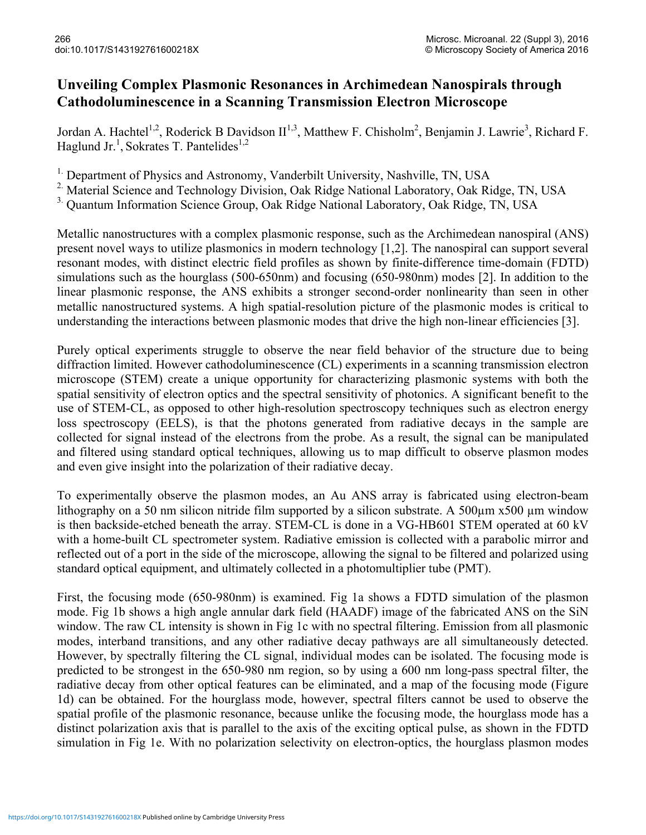## **Unveiling Complex Plasmonic Resonances in Archimedean Nanospirals through Cathodoluminescence in a Scanning Transmission Electron Microscope**

Jordan A. Hachtel<sup>1,2</sup>, Roderick B Davidson  $II^{1,3}$ , Matthew F. Chisholm<sup>2</sup>, Benjamin J. Lawrie<sup>3</sup>, Richard F. Haglund Jr.<sup>1</sup>, Sokrates T. Pantelides<sup>1,2</sup>

<sup>1.</sup> Department of Physics and Astronomy, Vanderbilt University, Nashville, TN, USA

<sup>2.</sup> Material Science and Technology Division, Oak Ridge National Laboratory, Oak Ridge, TN, USA

<sup>3.</sup> Quantum Information Science Group, Oak Ridge National Laboratory, Oak Ridge, TN, USA

Metallic nanostructures with a complex plasmonic response, such as the Archimedean nanospiral (ANS) present novel ways to utilize plasmonics in modern technology [1,2]. The nanospiral can support several resonant modes, with distinct electric field profiles as shown by finite-difference time-domain (FDTD) simulations such as the hourglass (500-650nm) and focusing (650-980nm) modes [2]. In addition to the linear plasmonic response, the ANS exhibits a stronger second-order nonlinearity than seen in other metallic nanostructured systems. A high spatial-resolution picture of the plasmonic modes is critical to understanding the interactions between plasmonic modes that drive the high non-linear efficiencies [3].

Purely optical experiments struggle to observe the near field behavior of the structure due to being diffraction limited. However cathodoluminescence (CL) experiments in a scanning transmission electron microscope (STEM) create a unique opportunity for characterizing plasmonic systems with both the spatial sensitivity of electron optics and the spectral sensitivity of photonics. A significant benefit to the use of STEM-CL, as opposed to other high-resolution spectroscopy techniques such as electron energy loss spectroscopy (EELS), is that the photons generated from radiative decays in the sample are collected for signal instead of the electrons from the probe. As a result, the signal can be manipulated and filtered using standard optical techniques, allowing us to map difficult to observe plasmon modes and even give insight into the polarization of their radiative decay.

To experimentally observe the plasmon modes, an Au ANS array is fabricated using electron-beam lithography on a 50 nm silicon nitride film supported by a silicon substrate. A 500 $\mu$ m x500  $\mu$ m window is then backside-etched beneath the array. STEM-CL is done in a VG-HB601 STEM operated at 60 kV with a home-built CL spectrometer system. Radiative emission is collected with a parabolic mirror and reflected out of a port in the side of the microscope, allowing the signal to be filtered and polarized using standard optical equipment, and ultimately collected in a photomultiplier tube (PMT).

First, the focusing mode (650-980nm) is examined. Fig 1a shows a FDTD simulation of the plasmon mode. Fig 1b shows a high angle annular dark field (HAADF) image of the fabricated ANS on the SiN window. The raw CL intensity is shown in Fig 1c with no spectral filtering. Emission from all plasmonic modes, interband transitions, and any other radiative decay pathways are all simultaneously detected. However, by spectrally filtering the CL signal, individual modes can be isolated. The focusing mode is predicted to be strongest in the 650-980 nm region, so by using a 600 nm long-pass spectral filter, the radiative decay from other optical features can be eliminated, and a map of the focusing mode (Figure 1d) can be obtained. For the hourglass mode, however, spectral filters cannot be used to observe the spatial profile of the plasmonic resonance, because unlike the focusing mode, the hourglass mode has a distinct polarization axis that is parallel to the axis of the exciting optical pulse, as shown in the FDTD simulation in Fig 1e. With no polarization selectivity on electron-optics, the hourglass plasmon modes